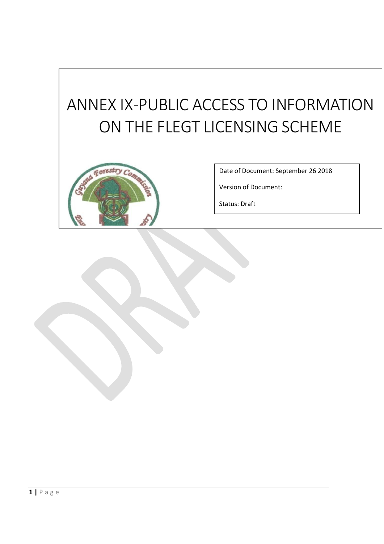# ANNEX IX -PUBLIC ACCESS TO INFORMATION ON THE FLEGT LICENSING SCHEME



Date of Document: September 26 2018

Version of Document:

Status: Draft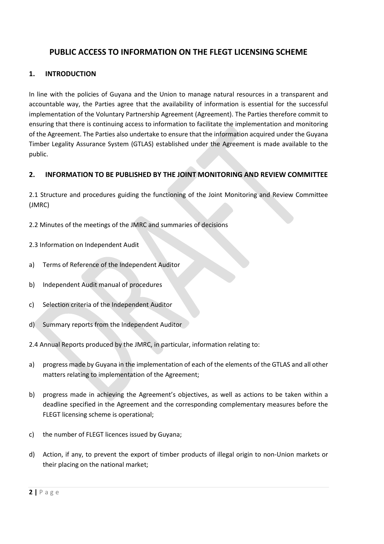## **PUBLIC ACCESS TO INFORMATION ON THE FLEGT LICENSING SCHEME**

## **1. INTRODUCTION**

In line with the policies of Guyana and the Union to manage natural resources in a transparent and accountable way, the Parties agree that the availability of information is essential for the successful implementation of the Voluntary Partnership Agreement (Agreement). The Parties therefore commit to ensuring that there is continuing access to information to facilitate the implementation and monitoring of the Agreement. The Parties also undertake to ensure that the information acquired under the Guyana Timber Legality Assurance System (GTLAS) established under the Agreement is made available to the public.

## **2. INFORMATION TO BE PUBLISHED BY THE JOINT MONITORING AND REVIEW COMMITTEE**

2.1 Structure and procedures guiding the functioning of the Joint Monitoring and Review Committee (JMRC)

2.2 Minutes of the meetings of the JMRC and summaries of decisions

- 2.3 Information on Independent Audit
- a) Terms of Reference of the Independent Auditor
- b) Independent Audit manual of procedures
- c) Selection criteria of the Independent Auditor
- d) Summary reports from the Independent Auditor
- 2.4 Annual Reports produced by the JMRC, in particular, information relating to:
- a) progress made by Guyana in the implementation of each of the elements of the GTLAS and all other matters relating to implementation of the Agreement;
- b) progress made in achieving the Agreement's objectives, as well as actions to be taken within a deadline specified in the Agreement and the corresponding complementary measures before the FLEGT licensing scheme is operational;
- c) the number of FLEGT licences issued by Guyana;
- d) Action, if any, to prevent the export of timber products of illegal origin to non-Union markets or their placing on the national market;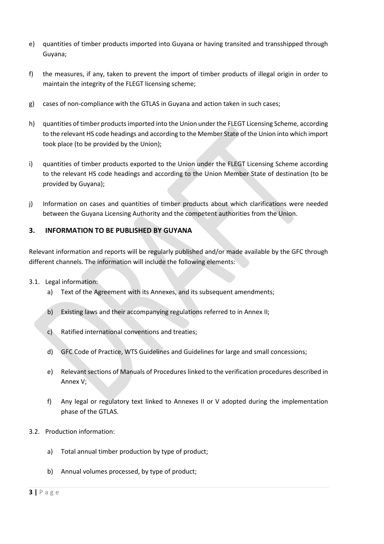- e) quantities of timber products imported into Guyana or having transited and transshipped through Guyana;
- f) the measures, if any, taken to prevent the import of timber products of illegal origin in order to maintain the integrity of the FLEGT licensing scheme;
- g) cases of non-compliance with the GTLAS in Guyana and action taken in such cases;
- h) quantities of timber products imported into the Union under the FLEGT Licensing Scheme, according to the relevant HS code headings and according to the Member State of the Union into which import took place (to be provided by the Union);
- i) quantities of timber products exported to the Union under the FLEGT Licensing Scheme according to the relevant HS code headings and according to the Union Member State of destination (to be provided by Guyana);
- j) Information on cases and quantities of timber products about which clarifications were needed between the Guyana Licensing Authority and the competent authorities from the Union.

#### **3. INFORMATION TO BE PUBLISHED BY GUYANA**

Relevant information and reports will be regularly published and/or made available by the GFC through different channels. The information will include the following elements:

#### 3.1. Legal information:

- a) Text of the Agreement with its Annexes, and its subsequent amendments;
- b) Existing laws and their accompanying regulations referred to in Annex II;
- c) Ratified international conventions and treaties;
- d) GFC Code of Practice, WTS Guidelines and Guidelines for large and small concessions;
- e) Relevant sections of Manuals of Procedures linked to the verification procedures described in Annex V;
- f) Any legal or regulatory text linked to Annexes II or V adopted during the implementation phase of the GTLAS.
- 3.2. Production information:
	- a) Total annual timber production by type of product;
	- b) Annual volumes processed, by type of product;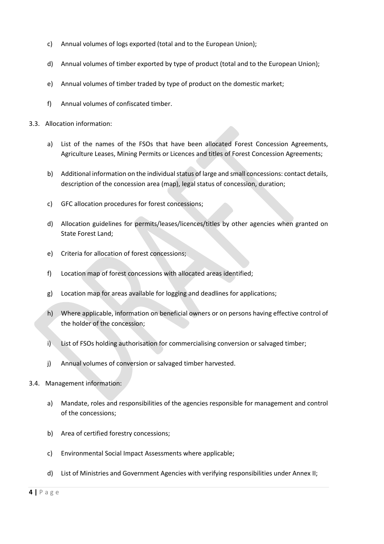- c) Annual volumes of logs exported (total and to the European Union);
- d) Annual volumes of timber exported by type of product (total and to the European Union);
- e) Annual volumes of timber traded by type of product on the domestic market;
- f) Annual volumes of confiscated timber.
- 3.3. Allocation information:
	- a) List of the names of the FSOs that have been allocated Forest Concession Agreements, Agriculture Leases, Mining Permits or Licences and titles of Forest Concession Agreements;
	- b) Additional information on the individual status of large and small concessions: contact details, description of the concession area (map), legal status of concession, duration;
	- c) GFC allocation procedures for forest concessions;
	- d) Allocation guidelines for permits/leases/licences/titles by other agencies when granted on State Forest Land;
	- e) Criteria for allocation of forest concessions;
	- f) Location map of forest concessions with allocated areas identified;
	- g) Location map for areas available for logging and deadlines for applications;
	- h) Where applicable, information on beneficial owners or on persons having effective control of the holder of the concession;
	- i) List of FSOs holding authorisation for commercialising conversion or salvaged timber;
	- j) Annual volumes of conversion or salvaged timber harvested.
- 3.4. Management information:
	- a) Mandate, roles and responsibilities of the agencies responsible for management and control of the concessions;
	- b) Area of certified forestry concessions;
	- c) Environmental Social Impact Assessments where applicable;
	- d) List of Ministries and Government Agencies with verifying responsibilities under Annex II;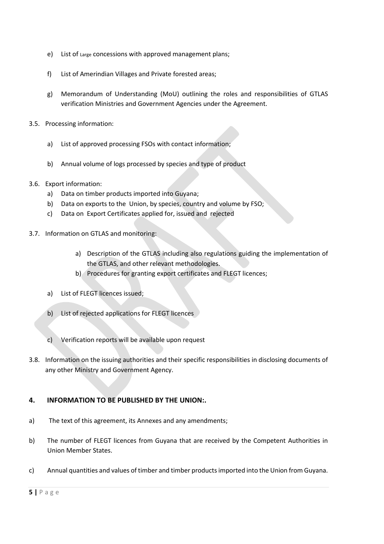- e) List of Large concessions with approved management plans;
- f) List of Amerindian Villages and Private forested areas;
- g) Memorandum of Understanding (MoU) outlining the roles and responsibilities of GTLAS verification Ministries and Government Agencies under the Agreement.
- 3.5. Processing information:
	- a) List of approved processing FSOs with contact information;
	- b) Annual volume of logs processed by species and type of product
- 3.6. Export information:
	- a) Data on timber products imported into Guyana;
	- b) Data on exports to the Union, by species, country and volume by FSO;
	- c) Data on Export Certificates applied for, issued and rejected
- 3.7. Information on GTLAS and monitoring:
	- a) Description of the GTLAS including also regulations guiding the implementation of the GTLAS, and other relevant methodologies.
	- b) Procedures for granting export certificates and FLEGT licences;
	- a) List of FLEGT licences issued;
	- b) List of rejected applications for FLEGT licences
	- c) Verification reports will be available upon request
- 3.8. Information on the issuing authorities and their specific responsibilities in disclosing documents of any other Ministry and Government Agency.

#### **4. INFORMATION TO BE PUBLISHED BY THE UNION:.**

- a) The text of this agreement, its Annexes and any amendments;
- b) The number of FLEGT licences from Guyana that are received by the Competent Authorities in Union Member States.
- c) Annual quantities and values of timber and timber products imported into the Union from Guyana.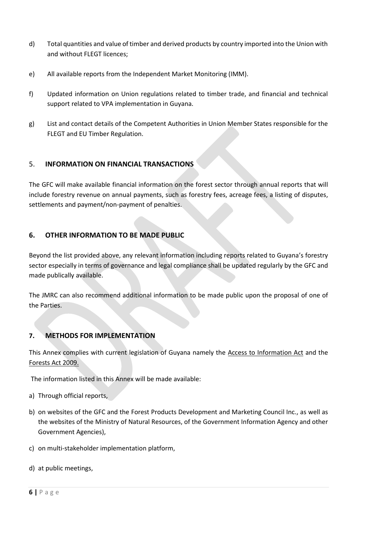- d) Total quantities and value of timber and derived products by country imported into the Union with and without FLEGT licences;
- e) All available reports from the Independent Market Monitoring (IMM).
- f) Updated information on Union regulations related to timber trade, and financial and technical support related to VPA implementation in Guyana.
- g) List and contact details of the Competent Authorities in Union Member States responsible for the FLEGT and EU Timber Regulation.

## 5. **INFORMATION ON FINANCIAL TRANSACTIONS**

The GFC will make available financial information on the forest sector through annual reports that will include forestry revenue on annual payments, such as forestry fees, acreage fees, a listing of disputes, settlements and payment/non-payment of penalties.

## **6. OTHER INFORMATION TO BE MADE PUBLIC**

Beyond the list provided above, any relevant information including reports related to Guyana's forestry sector especially in terms of governance and legal compliance shall be updated regularly by the GFC and made publically available.

The JMRC can also recommend additional information to be made public upon the proposal of one of the Parties.

#### **7. METHODS FOR IMPLEMENTATION**

This Annex complies with current legislation of Guyana namely the Access to Information Act and the Forests Act 2009.

The information listed in this Annex will be made available:

- a) Through official reports,
- b) on websites of the GFC and the Forest Products Development and Marketing Council Inc., as well as the websites of the Ministry of Natural Resources, of the Government Information Agency and other Government Agencies),
- c) on multi-stakeholder implementation platform,
- d) at public meetings,